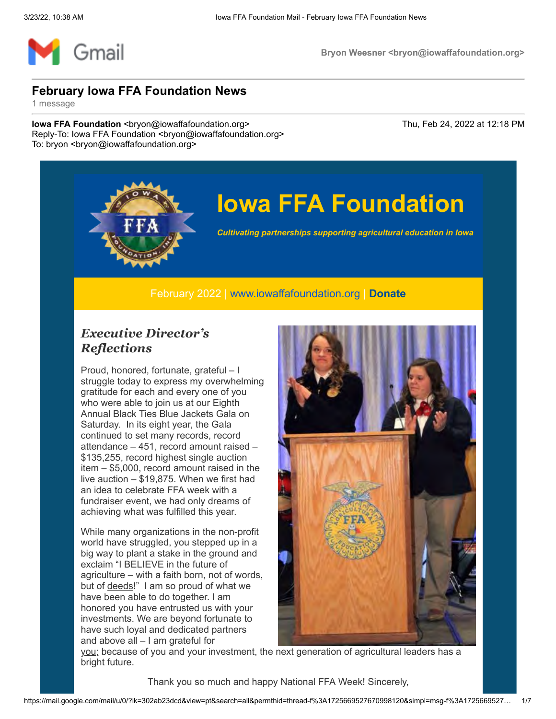

# **Iowa FFA Foundation**

*Cultivating partnerships supporting agricultural education in Iowa*

February 2022 | [www.iowaffafoundation.org](http://www.iowaffafoundation.org/) | **[Donate](https://eml-pusa01.app.blackbaud.net/intv2/j/E2B264D1-D1F6-4433-A679-44A67F3F37AA/r/E2B264D1-D1F6-4433-A679-44A67F3F37AA_e41bc739-c3ba-497c-b69a-2421ace523f3/l/43EFC7A5-4C83-4D01-BB20-76A0A8071FA7/c)**

#### *Executive Director's Reflections*

Proud, honored, fortunate, grateful – I struggle today to express my overwhelming gratitude for each and every one of you who were able to join us at our Eighth Annual Black Ties Blue Jackets Gala on Saturday. In its eight year, the Gala continued to set many records, record attendance – 451, record amount raised – \$135,255, record highest single auction item – \$5,000, record amount raised in the live auction – \$19,875. When we first had an idea to celebrate FFA week with a fundraiser event, we had only dreams of achieving what was fulfilled this year.

While many organizations in the non-profit world have struggled, you stepped up in a big way to plant a stake in the ground and exclaim "I BELIEVE in the future of agriculture – with a faith born, not of words, but of deeds!" I am so proud of what we have been able to do together. I am honored you have entrusted us with your investments. We are beyond fortunate to have such loyal and dedicated partners and above all – I am grateful for



you; because of you and your investment, the next generation of agricultural leaders has a bright future.

Thank you so much and happy National FFA Week! Sincerely,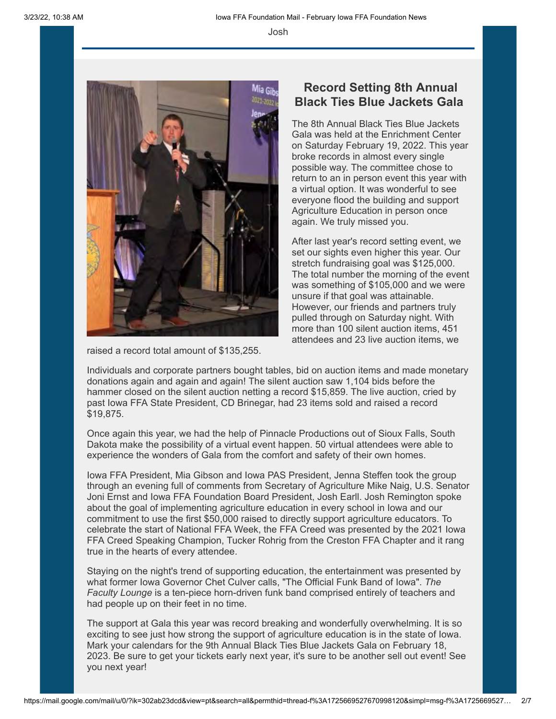Josh



raised a record total amount of \$135,255.

#### **Record Setting 8th Annual Black Ties Blue Jackets Gala**

The 8th Annual Black Ties Blue Jackets Gala was held at the Enrichment Center on Saturday February 19, 2022. This year broke records in almost every single possible way. The committee chose to return to an in person event this year with a virtual option. It was wonderful to see everyone flood the building and support Agriculture Education in person once again. We truly missed you.

After last year's record setting event, we set our sights even higher this year. Our stretch fundraising goal was \$125,000. The total number the morning of the event was something of \$105,000 and we were unsure if that goal was attainable. However, our friends and partners truly pulled through on Saturday night. With more than 100 silent auction items, 451 attendees and 23 live auction items, we

Individuals and corporate partners bought tables, bid on auction items and made monetary donations again and again and again! The silent auction saw 1,104 bids before the hammer closed on the silent auction netting a record \$15,859. The live auction, cried by past Iowa FFA State President, CD Brinegar, had 23 items sold and raised a record \$19,875.

Once again this year, we had the help of Pinnacle Productions out of Sioux Falls, South Dakota make the possibility of a virtual event happen. 50 virtual attendees were able to experience the wonders of Gala from the comfort and safety of their own homes.

Iowa FFA President, Mia Gibson and Iowa PAS President, Jenna Steffen took the group through an evening full of comments from Secretary of Agriculture Mike Naig, U.S. Senator Joni Ernst and Iowa FFA Foundation Board President, Josh Earll. Josh Remington spoke about the goal of implementing agriculture education in every school in Iowa and our commitment to use the first \$50,000 raised to directly support agriculture educators. To celebrate the start of National FFA Week, the FFA Creed was presented by the 2021 Iowa FFA Creed Speaking Champion, Tucker Rohrig from the Creston FFA Chapter and it rang true in the hearts of every attendee.

Staying on the night's trend of supporting education, the entertainment was presented by what former Iowa Governor Chet Culver calls, "The Official Funk Band of Iowa". *The Faculty Lounge* is a ten-piece horn-driven funk band comprised entirely of teachers and had people up on their feet in no time.

The support at Gala this year was record breaking and wonderfully overwhelming. It is so exciting to see just how strong the support of agriculture education is in the state of Iowa. Mark your calendars for the 9th Annual Black Ties Blue Jackets Gala on February 18, 2023. Be sure to get your tickets early next year, it's sure to be another sell out event! See you next year!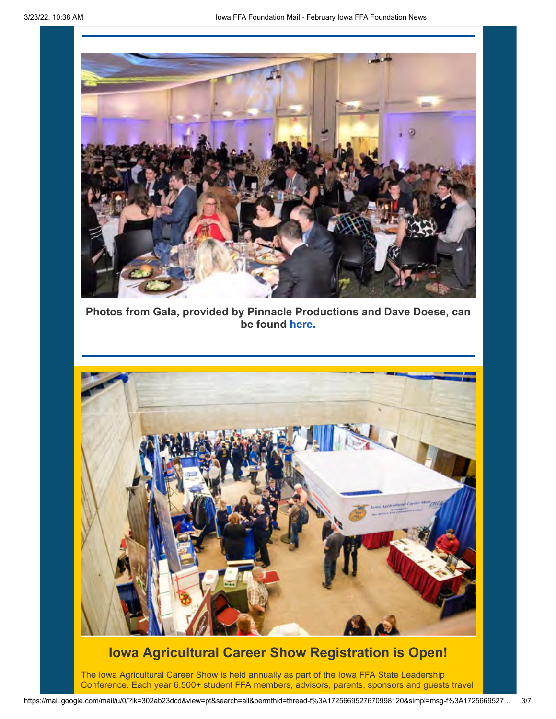

**Photos from Gala, provided by Pinnacle Productions and Dave Doese, can be found [here.](https://eml-pusa01.app.blackbaud.net/intv2/j/E2B264D1-D1F6-4433-A679-44A67F3F37AA/r/E2B264D1-D1F6-4433-A679-44A67F3F37AA_e41bc739-c3ba-497c-b69a-2421ace523f3/l/6901CCF0-7B7D-4E4E-ADA4-676F2C9642D1/c)**



### **Iowa Agricultural Career Show Registration is Open!**

The Iowa Agricultural Career Show is held annually as part of the Iowa FFA State Leadership Conference. Each year 6,500+ student FFA members, advisors, parents, sponsors and guests travel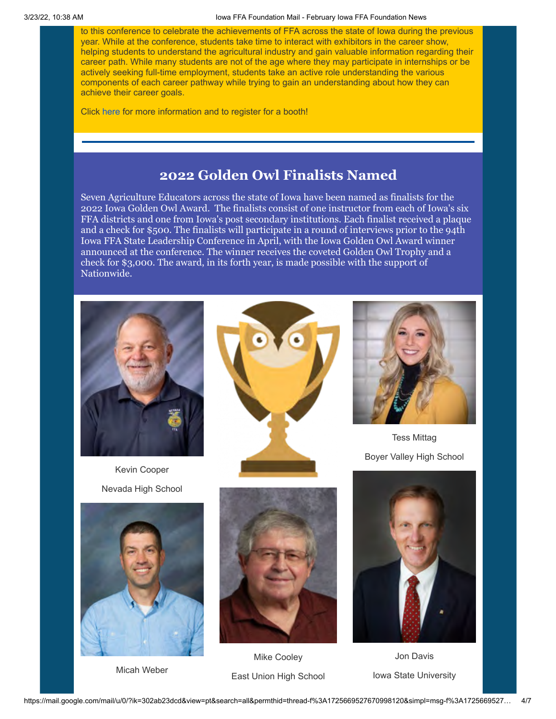to this conference to celebrate the achievements of FFA across the state of Iowa during the previous year. While at the conference, students take time to interact with exhibitors in the career show, helping students to understand the agricultural industry and gain valuable information regarding their career path. While many students are not of the age where they may participate in internships or be actively seeking full-time employment, students take an active role understanding the various components of each career pathway while trying to gain an understanding about how they can achieve their career goals.

Click [here](https://eml-pusa01.app.blackbaud.net/intv2/j/E2B264D1-D1F6-4433-A679-44A67F3F37AA/r/E2B264D1-D1F6-4433-A679-44A67F3F37AA_e41bc739-c3ba-497c-b69a-2421ace523f3/l/1634AF49-037B-460B-BF11-BE406B27CDD7/c) for more information and to register for a booth!

#### **2022 Golden Owl Finalists Named**

Seven Agriculture Educators across the state of Iowa have been named as finalists for the 2022 Iowa Golden Owl Award. The finalists consist of one instructor from each of Iowa's six FFA districts and one from Iowa's post secondary institutions. Each finalist received a plaque and a check for \$500. The finalists will participate in a round of interviews prior to the 94th Iowa FFA State Leadership Conference in April, with the Iowa Golden Owl Award winner announced at the conference. The winner receives the coveted Golden Owl Trophy and a check for \$3,000. The award, in its forth year, is made possible with the support of Nationwide.

![](_page_3_Picture_4.jpeg)

Kevin Cooper Nevada High School

![](_page_3_Picture_6.jpeg)

Micah Weber

![](_page_3_Picture_8.jpeg)

![](_page_3_Picture_9.jpeg)

Mike Cooley East Union High School

![](_page_3_Picture_11.jpeg)

Tess Mittag Boyer Valley High School

![](_page_3_Picture_13.jpeg)

Jon Davis Iowa State University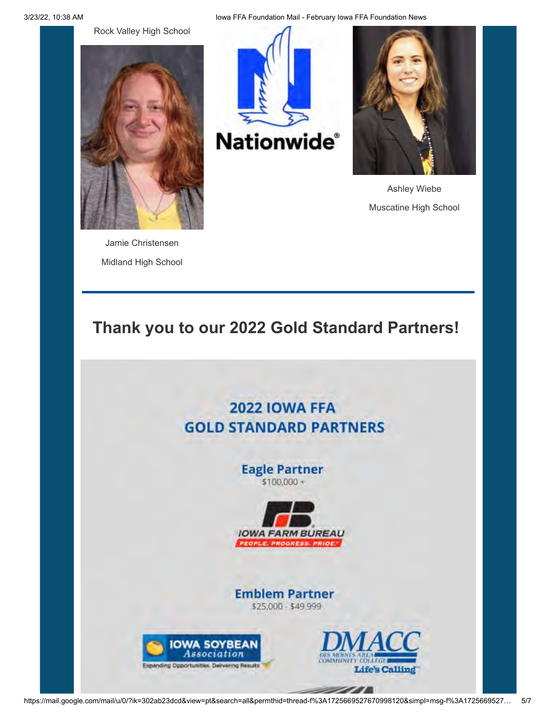Rock Valley High School

![](_page_4_Picture_1.jpeg)

Jamie Christensen Midland High School

![](_page_4_Picture_3.jpeg)

![](_page_4_Picture_4.jpeg)

Ashley Wiebe Muscatine High School

## **Thank you to our 2022 Gold Standard Partners!**

## **2022 IOWA FFA GOLD STANDARD PARTNERS**

**Eagle Partner**  $$100,000 +$ 

![](_page_4_Picture_9.jpeg)

**Emblem Partner** \$25,000 - \$49,999

![](_page_4_Picture_11.jpeg)

![](_page_4_Picture_12.jpeg)

*2000 -*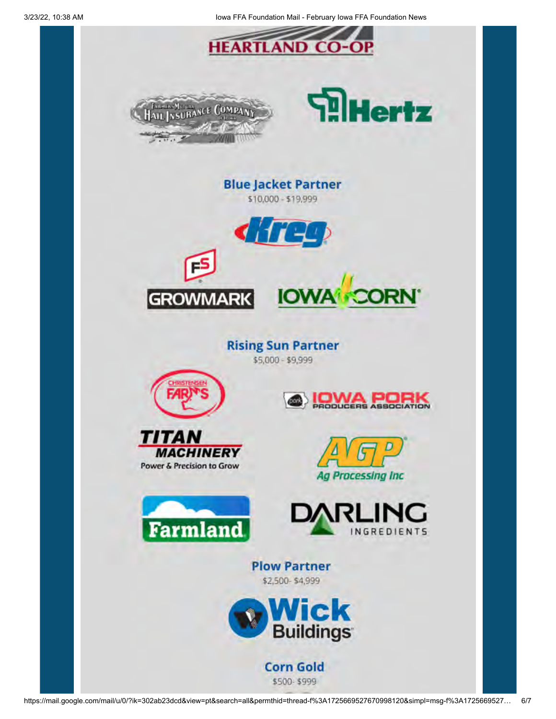![](_page_5_Picture_0.jpeg)